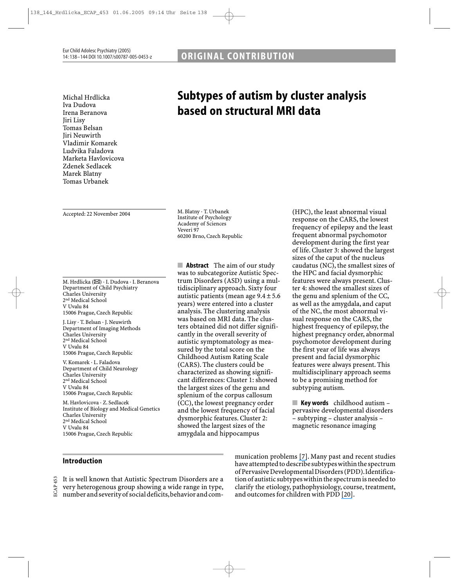Michal Hrdlicka Iva Dudova Irena Beranova Jiri Lisy Tomas Belsan Jiri Neuwirth Vladimir Komarek Ludvika Faladova Marketa Havlovicova Zdenek Sedlacek Marek Blatny Tomas Urbanek

Accepted: 22 November 2004

M. Hrdlicka ( $\boxtimes$ ) · I. Dudova · I. Beranova Department of Child Psychiatry Charles University 2nd Medical School V Uvalu 84 15006 Prague, Czech Republic

J. Lisy · T. Belsan · J. Neuwirth Department of Imaging Methods Charles University 2nd Medical School V Uvalu 84 15006 Prague, Czech Republic

V. Komarek · L. Faladova Department of Child Neurology Charles University 2nd Medical School V Uvalu 84 15006 Prague, Czech Republic

M. Havlovicova · Z. Sedlacek Institute of Biology and Medical Genetics Charles University 2nd Medical School V Uvalu 84 15006 Prague, Czech Republic

M. Blatny · T. Urbanek Institute of Psychology Academy of Sciences Veveri 97 60200 Brno, Czech Republic

■ **Abstract** The aim of our study was to subcategorize Autistic Spectrum Disorders (ASD) using a multidisciplinary approach. Sixty four autistic patients (mean age  $9.4 \pm 5.6$ years) were entered into a cluster analysis. The clustering analysis was based on MRI data. The clusters obtained did not differ significantly in the overall severity of autistic symptomatology as measured by the total score on the Childhood Autism Rating Scale (CARS). The clusters could be characterized as showing significant differences: Cluster 1: showed the largest sizes of the genu and splenium of the corpus callosum (CC), the lowest pregnancy order and the lowest frequency of facial dysmorphic features. Cluster 2: showed the largest sizes of the amygdala and hippocampus

(HPC), the least abnormal visual response on the CARS, the lowest frequency of epilepsy and the least frequent abnormal psychomotor development during the first year of life. Cluster 3: showed the largest sizes of the caput of the nucleus caudatus (NC), the smallest sizes of the HPC and facial dysmorphic features were always present. Cluster 4: showed the smallest sizes of the genu and splenium of the CC, as well as the amygdala, and caput of the NC, the most abnormal visual response on the CARS, the highest frequency of epilepsy, the highest pregnancy order, abnormal psychomotor development during the first year of life was always present and facial dysmorphic features were always present. This multidisciplinary approach seems to be a promising method for subtyping autism.

■ Key words childhood autism – pervasive developmental disorders – subtyping – cluster analysis – magnetic resonance imaging

# Introduction

It is well known that Autistic Spectrum Disorders are a very heterogenous group showing a wide range in type, number and severity of social deficits,behavior and communication problems [\[7\]](https://www.researchgate.net/publication/15009837_Subtypes_of_autism_by_cluster_analysis?el=1_x_8&enrichId=rgreq-302ab7671805f9d4384f4473ffe0dbbd-XXX&enrichSource=Y292ZXJQYWdlOzI0MDE3MTgxNjtBUzoxODI2NDA1MTQ3MDc0NTZAMTQyMDU1NjMwMTAxOA==). Many past and recent studies have attempted to describe subtypes within the spectrum of Pervasive Developmental Disorders (PDD).Identification of autistic subtypes within the spectrum is needed to clarify the etiology, pathophysiology, course, treatment, and outcomes for children with PDD [\[20\]](https://www.researchgate.net/publication/290793999_Implementation_of_a_bioclinical_database_for_research_and_treatment_studies_in_childhood_autism_Preliminary_report_on_a_concrete_experience?el=1_x_8&enrichId=rgreq-302ab7671805f9d4384f4473ffe0dbbd-XXX&enrichSource=Y292ZXJQYWdlOzI0MDE3MTgxNjtBUzoxODI2NDA1MTQ3MDc0NTZAMTQyMDU1NjMwMTAxOA==).

# Subtypes of autism by cluster analysis based on structural MRI data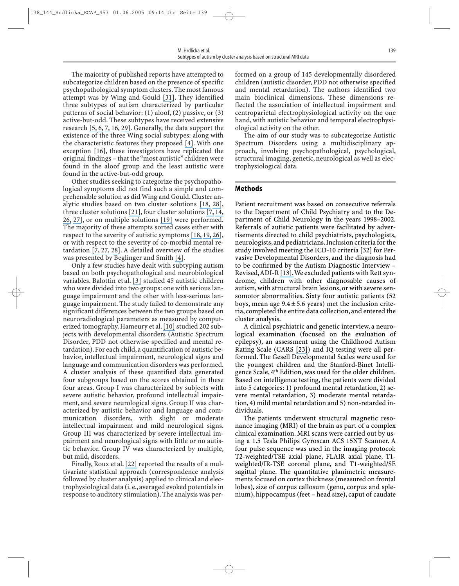The majority of published reports have attempted to subcategorize children based on the presence of specific psychopathological symptom clusters.The most famous attempt was by Wing and Gould [\[31\]](https://www.researchgate.net/publication/22979316_Severe_Impairments_of_Social-Interaction_and_Associated_Abnormalities_in_Children-Epidemiology_and_Classification?el=1_x_8&enrichId=rgreq-302ab7671805f9d4384f4473ffe0dbbd-XXX&enrichSource=Y292ZXJQYWdlOzI0MDE3MTgxNjtBUzoxODI2NDA1MTQ3MDc0NTZAMTQyMDU1NjMwMTAxOA==). They identified three subtypes of autism characterized by particular patterns of social behavior: (1) aloof, (2) passive, or (3) active-but-odd. These subtypes have received extensive research [\[5,](https://www.researchgate.net/publication/15009836_An_examination_of_the_validity_of_social_subtypes_in_Autism?el=1_x_8&enrichId=rgreq-302ab7671805f9d4384f4473ffe0dbbd-XXX&enrichSource=Y292ZXJQYWdlOzI0MDE3MTgxNjtBUzoxODI2NDA1MTQ3MDc0NTZAMTQyMDU1NjMwMTAxOA==) [6,](https://www.researchgate.net/publication/14868345_Subclassification_of_children_with_autism_and_pervasive_developmental_disorder_A_questionnaire_based_on_Wing) [7,](https://www.researchgate.net/publication/15009837_Subtypes_of_autism_by_cluster_analysis?el=1_x_8&enrichId=rgreq-302ab7671805f9d4384f4473ffe0dbbd-XXX&enrichSource=Y292ZXJQYWdlOzI0MDE3MTgxNjtBUzoxODI2NDA1MTQ3MDc0NTZAMTQyMDU1NjMwMTAxOA==) 16, [29\]](https://www.researchgate.net/publication/20241099_An_Examination_of_Social_Typologies_in_Autism?el=1_x_8&enrichId=rgreq-302ab7671805f9d4384f4473ffe0dbbd-XXX&enrichSource=Y292ZXJQYWdlOzI0MDE3MTgxNjtBUzoxODI2NDA1MTQ3MDc0NTZAMTQyMDU1NjMwMTAxOA==). Generally, the data support the existence of the three Wing social subtypes: along with the characteristic features they proposed [\[4\]](https://www.researchgate.net/publication/11777829_A_Review_of_Subtyping_in_Autism_and_Proposed_Dimensional_Classification_Model?el=1_x_8&enrichId=rgreq-302ab7671805f9d4384f4473ffe0dbbd-XXX&enrichSource=Y292ZXJQYWdlOzI0MDE3MTgxNjtBUzoxODI2NDA1MTQ3MDc0NTZAMTQyMDU1NjMwMTAxOA==). With one exception [16], these investigators have replicated the original findings – that the "most autistic" children were found in the aloof group and the least autistic were found in the active-but-odd group.

Other studies seeking to categorize the psychopathological symptoms did not find such a simple and comprehensible solution as did Wing and Gould. Cluster analytic studies based on two cluster solutions [\[18,](https://www.researchgate.net/publication/21949707_The_classification_of_childhood_psychoses_by_numerical_taxonomy?el=1_x_8&enrichId=rgreq-302ab7671805f9d4384f4473ffe0dbbd-XXX&enrichSource=Y292ZXJQYWdlOzI0MDE3MTgxNjtBUzoxODI2NDA1MTQ3MDc0NTZAMTQyMDU1NjMwMTAxOA==) [28\]](https://www.researchgate.net/publication/12601853_Subgroups_of_Children_With_Autism_by_Cluster_Analysis_A_Longitudinal_Examination?el=1_x_8&enrichId=rgreq-302ab7671805f9d4384f4473ffe0dbbd-XXX&enrichSource=Y292ZXJQYWdlOzI0MDE3MTgxNjtBUzoxODI2NDA1MTQ3MDc0NTZAMTQyMDU1NjMwMTAxOA==), three cluster solutions [\[21\]](https://www.researchgate.net/publication/14592944_Identification_of_behaviour_profiles_with_a_population_of_autistic_children_using_multivariate_statistical_methods?el=1_x_8&enrichId=rgreq-302ab7671805f9d4384f4473ffe0dbbd-XXX&enrichSource=Y292ZXJQYWdlOzI0MDE3MTgxNjtBUzoxODI2NDA1MTQ3MDc0NTZAMTQyMDU1NjMwMTAxOA==), four cluster solutions [\[7,](https://www.researchgate.net/publication/15009837_Subtypes_of_autism_by_cluster_analysis?el=1_x_8&enrichId=rgreq-302ab7671805f9d4384f4473ffe0dbbd-XXX&enrichSource=Y292ZXJQYWdlOzI0MDE3MTgxNjtBUzoxODI2NDA1MTQ3MDc0NTZAMTQyMDU1NjMwMTAxOA==) [14,](https://www.researchgate.net/publication/8600444_Behaviour_profiles_in_a_population_of_infants_later_diagnosed_as_having_autistic_disorder?el=1_x_8&enrichId=rgreq-302ab7671805f9d4384f4473ffe0dbbd-XXX&enrichSource=Y292ZXJQYWdlOzI0MDE3MTgxNjtBUzoxODI2NDA1MTQ3MDc0NTZAMTQyMDU1NjMwMTAxOA==) [26,](https://www.researchgate.net/publication/14482437_Empirically_derived_subtypes_of_pervasive_developmental_disorders_A_cluster_analytic_study_Journal_of_Autism_Developmental_Disorders_25_561-578?el=1_x_8&enrichId=rgreq-302ab7671805f9d4384f4473ffe0dbbd-XXX&enrichSource=Y292ZXJQYWdlOzI0MDE3MTgxNjtBUzoxODI2NDA1MTQ3MDc0NTZAMTQyMDU1NjMwMTAxOA==) [27\]](https://www.researchgate.net/publication/19604213_Empirically_derived_subclassification_of_the_autistic_syndrome?el=1_x_8&enrichId=rgreq-302ab7671805f9d4384f4473ffe0dbbd-XXX&enrichSource=Y292ZXJQYWdlOzI0MDE3MTgxNjtBUzoxODI2NDA1MTQ3MDc0NTZAMTQyMDU1NjMwMTAxOA==), or on multiple solutions [\[19\]](https://www.researchgate.net/publication/19940176_Cluster_analytic_identification_of_autistic_preschoolers?el=1_x_8&enrichId=rgreq-302ab7671805f9d4384f4473ffe0dbbd-XXX&enrichSource=Y292ZXJQYWdlOzI0MDE3MTgxNjtBUzoxODI2NDA1MTQ3MDc0NTZAMTQyMDU1NjMwMTAxOA==) were performed. The majority of these attempts sorted cases either with respect to the severity of autistic symptoms [\[18,](https://www.researchgate.net/publication/21949707_The_classification_of_childhood_psychoses_by_numerical_taxonomy?el=1_x_8&enrichId=rgreq-302ab7671805f9d4384f4473ffe0dbbd-XXX&enrichSource=Y292ZXJQYWdlOzI0MDE3MTgxNjtBUzoxODI2NDA1MTQ3MDc0NTZAMTQyMDU1NjMwMTAxOA==) [19,](https://www.researchgate.net/publication/19940176_Cluster_analytic_identification_of_autistic_preschoolers?el=1_x_8&enrichId=rgreq-302ab7671805f9d4384f4473ffe0dbbd-XXX&enrichSource=Y292ZXJQYWdlOzI0MDE3MTgxNjtBUzoxODI2NDA1MTQ3MDc0NTZAMTQyMDU1NjMwMTAxOA==) [26\]](https://www.researchgate.net/publication/14482437_Empirically_derived_subtypes_of_pervasive_developmental_disorders_A_cluster_analytic_study_Journal_of_Autism_Developmental_Disorders_25_561-578?el=1_x_8&enrichId=rgreq-302ab7671805f9d4384f4473ffe0dbbd-XXX&enrichSource=Y292ZXJQYWdlOzI0MDE3MTgxNjtBUzoxODI2NDA1MTQ3MDc0NTZAMTQyMDU1NjMwMTAxOA==), or with respect to the severity of co-morbid mental retardation [\[7,](https://www.researchgate.net/publication/15009837_Subtypes_of_autism_by_cluster_analysis?el=1_x_8&enrichId=rgreq-302ab7671805f9d4384f4473ffe0dbbd-XXX&enrichSource=Y292ZXJQYWdlOzI0MDE3MTgxNjtBUzoxODI2NDA1MTQ3MDc0NTZAMTQyMDU1NjMwMTAxOA==) [27,](https://www.researchgate.net/publication/19604213_Empirically_derived_subclassification_of_the_autistic_syndrome?el=1_x_8&enrichId=rgreq-302ab7671805f9d4384f4473ffe0dbbd-XXX&enrichSource=Y292ZXJQYWdlOzI0MDE3MTgxNjtBUzoxODI2NDA1MTQ3MDc0NTZAMTQyMDU1NjMwMTAxOA==) [28\]](https://www.researchgate.net/publication/12601853_Subgroups_of_Children_With_Autism_by_Cluster_Analysis_A_Longitudinal_Examination?el=1_x_8&enrichId=rgreq-302ab7671805f9d4384f4473ffe0dbbd-XXX&enrichSource=Y292ZXJQYWdlOzI0MDE3MTgxNjtBUzoxODI2NDA1MTQ3MDc0NTZAMTQyMDU1NjMwMTAxOA==). A detailed overview of the studies was presented by Beglinger and Smith [\[4\]](https://www.researchgate.net/publication/11777829_A_Review_of_Subtyping_in_Autism_and_Proposed_Dimensional_Classification_Model?el=1_x_8&enrichId=rgreq-302ab7671805f9d4384f4473ffe0dbbd-XXX&enrichSource=Y292ZXJQYWdlOzI0MDE3MTgxNjtBUzoxODI2NDA1MTQ3MDc0NTZAMTQyMDU1NjMwMTAxOA==).

Only a few studies have dealt with subtyping autism based on both psychopathological and neurobiological variables. Balottin et al. [\[3\]](https://www.researchgate.net/publication/20448528_Infantile_autism_and_computerized_tomography_brain-scan_findings_Specific_versus_nonspecific_abnormalities?el=1_x_8&enrichId=rgreq-302ab7671805f9d4384f4473ffe0dbbd-XXX&enrichSource=Y292ZXJQYWdlOzI0MDE3MTgxNjtBUzoxODI2NDA1MTQ3MDc0NTZAMTQyMDU1NjMwMTAxOA==) studied 45 autistic children who were divided into two groups: one with serious language impairment and the other with less-serious language impairment. The study failed to demonstrate any significant differences between the two groups based on neuroradiological parameters as measured by computerized tomography. Hameury et al. [\[10\]](https://www.researchgate.net/publication/15403457_Quantified_multidimensional_assessment_of_autism_and_other_pervasive_developmental_disorders_Application_for_bioclinical_research?el=1_x_8&enrichId=rgreq-302ab7671805f9d4384f4473ffe0dbbd-XXX&enrichSource=Y292ZXJQYWdlOzI0MDE3MTgxNjtBUzoxODI2NDA1MTQ3MDc0NTZAMTQyMDU1NjMwMTAxOA==) studied 202 subjects with developmental disorders (Autistic Spectrum Disorder, PDD not otherwise specified and mental retardation).For each child,a quantification of autistic behavior, intellectual impairment, neurological signs and language and communication disorders was performed. A cluster analysis of these quantified data generated four subgroups based on the scores obtained in these four areas. Group I was characterized by subjects with severe autistic behavior, profound intellectual impairment, and severe neurological signs. Group II was characterized by autistic behavior and language and communication disorders, with slight or moderate intellectual impairment and mild neurological signs. Group III was characterized by severe intellectual impairment and neurological signs with little or no autistic behavior. Group IV was characterized by multiple, but mild, disorders.

Finally, Roux et al. [\[22\]](https://www.researchgate.net/publication/13803205_Bioclinical_profiles_of_autism_and_other_developmental_disorders_using_a_multivariate_statistical_approach?el=1_x_8&enrichId=rgreq-302ab7671805f9d4384f4473ffe0dbbd-XXX&enrichSource=Y292ZXJQYWdlOzI0MDE3MTgxNjtBUzoxODI2NDA1MTQ3MDc0NTZAMTQyMDU1NjMwMTAxOA==) reported the results of a multivariate statistical approach (correspondence analysis followed by cluster analysis) applied to clinical and electrophysiological data (i. e.,averaged evoked potentials in response to auditory stimulation). The analysis was performed on a group of 145 developmentally disordered children (autistic disorder, PDD not otherwise specified and mental retardation). The authors identified two main bioclinical dimensions. These dimensions reflected the association of intellectual impairment and centroparietal electrophysiological activity on the one hand, with autistic behavior and temporal electrophysiological activity on the other.

The aim of our study was to subcategorize Autistic Spectrum Disorders using a multidisciplinary approach, involving psychopathological, psychological, structural imaging, genetic, neurological as well as electrophysiological data.

### Methods

Patient recruitment was based on consecutive referrals to the Department of Child Psychiatry and to the Department of Child Neurology in the years 1998–2002. Referrals of autistic patients were facilitated by advertisements directed to child psychiatrists, psychologists, neurologists,and pediatricians.Inclusion criteria for the study involved meeting the ICD-10 criteria [32] for Pervasive Developmental Disorders, and the diagnosis had to be confirmed by the Autism Diagnostic Interview – Revised,ADI-R [\[13\].](https://www.researchgate.net/publication/15385521_Autism_Diagnostic_Interview-Revised_-_A_Revised_Version_of_a_Diagnostic_Interview_for_Caregivers_of_Individuals_with_Possible_Pervasive_Developmental_Disorders?el=1_x_8&enrichId=rgreq-302ab7671805f9d4384f4473ffe0dbbd-XXX&enrichSource=Y292ZXJQYWdlOzI0MDE3MTgxNjtBUzoxODI2NDA1MTQ3MDc0NTZAMTQyMDU1NjMwMTAxOA==)We excluded patients with Rett syndrome, children with other diagnosable causes of autism, with structural brain lesions, or with severe sensomotor abnormalities. Sixty four autistic patients (52 boys, mean age  $9.4 \pm 5.6$  years) met the inclusion criteria, completed the entire data collection, and entered the cluster analysis.

A clinical psychiatric and genetic interview, a neurological examination (focused on the evaluation of epilepsy), an assessment using the Childhood Autism Rating Scale (CARS [\[23\]](https://www.researchgate.net/publication/16270715_Toward_Objective_Classification_of_Childhood_Autism_-_Childhood_Autism_Rating-Scale_CARS?el=1_x_8&enrichId=rgreq-302ab7671805f9d4384f4473ffe0dbbd-XXX&enrichSource=Y292ZXJQYWdlOzI0MDE3MTgxNjtBUzoxODI2NDA1MTQ3MDc0NTZAMTQyMDU1NjMwMTAxOA==)) and IQ testing were all performed. The Gesell Developmental Scales were used for the youngest children and the Stanford-Binet Intelligence Scale, 4th Edition, was used for the older children. Based on intelligence testing, the patients were divided into 5 categories: 1) profound mental retardation, 2) severe mental retardation, 3) moderate mental retardation, 4) mild mental retardation and 5) non-retarded individuals.

The patients underwent structural magnetic resonance imaging (MRI) of the brain as part of a complex clinical examination. MRI scans were carried out by using a 1.5 Tesla Philips Gyroscan ACS 15NT Scanner. A four pulse sequence was used in the imaging protocol: T2-weighted/TSE axial plane, FLAIR axial plane, T1 weighted/IR-TSE coronal plane, and T1-weighted/SE sagittal plane. The quantitative planimetric measurements focused on cortex thickness (measured on frontal lobes), size of corpus callosum (genu, corpus and splenium), hippocampus (feet – head size), caput of caudate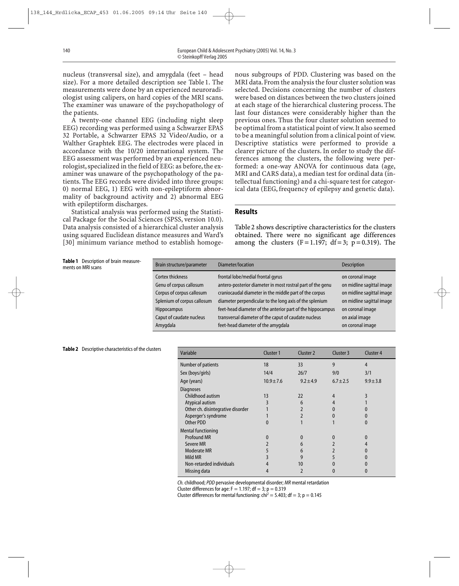nucleus (transversal size), and amygdala (feet – head size). For a more detailed description see Table 1. The measurements were done by an experienced neuroradiologist using calipers, on hard copies of the MRI scans. The examiner was unaware of the psychopathology of the patients.

A twenty-one channel EEG (including night sleep EEG) recording was performed using a Schwarzer EPAS 32 Portable, a Schwarzer EPAS 32 Video/Audio, or a Walther Graphtek EEG. The electrodes were placed in accordance with the 10/20 international system. The EEG assessment was performed by an experienced neurologist, specialized in the field of EEG: as before, the examiner was unaware of the psychopathology of the patients. The EEG records were divided into three groups: 0) normal EEG, 1) EEG with non-epileptiform abnormality of background activity and 2) abnormal EEG with epileptiform discharges.

Statistical analysis was performed using the Statistical Package for the Social Sciences (SPSS, version 10.0). Data analysis consisted of a hierarchical cluster analysis using squared Euclidean distance measures and Ward's [30] minimum variance method to establish homogenous subgroups of PDD. Clustering was based on the MRI data.From the analysis the four cluster solution was selected. Decisions concerning the number of clusters were based on distances between the two clusters joined at each stage of the hierarchical clustering process. The last four distances were considerably higher than the previous ones. Thus the four cluster solution seemed to be optimal from a statistical point of view.It also seemed to be a meaningful solution from a clinical point of view. Descriptive statistics were performed to provide a clearer picture of the clusters. In order to study the differences among the clusters, the following were performed: a one-way ANOVA for continuous data (age, MRI and CARS data), a median test for ordinal data (intellectual functioning) and a chi-square test for categorical data (EEG, frequency of epilepsy and genetic data).

## Results

Table 2 shows descriptive characteristics for the clusters obtained. There were no significant age differences among the clusters (F = 1.197; df = 3; p = 0.319). The

Table 1 Description of brain measurements on MRI scans

| Brain structure/parameter   | Diameter/location                                          | <b>Description</b>        |
|-----------------------------|------------------------------------------------------------|---------------------------|
| Cortex thickness            | frontal lobe/medial frontal gyrus                          | on coronal image          |
| Genu of corpus callosum     | antero-posterior diameter in most rostral part of the genu | on midline sagittal image |
| Corpus of corpus callosum   | craniocaudal diameter in the middle part of the corpus     | on midline sagittal image |
| Splenium of corpus callosum | diameter perpendicular to the long axis of the splenium    | on midline sagittal image |
| <b>Hippocampus</b>          | feet-head diameter of the anterior part of the hippocampus | on coronal image          |
| Caput of caudate nucleus    | transversal diameter of the caput of caudate nucleus       | on axial image            |
| Amygdala                    | feet-head diameter of the amygdala                         | on coronal image          |

#### Table 2 Descriptive characteristics of the clusters

| Variable                          | Cluster 1      | Cluster 2     | Cluster 3     | Cluster 4     |
|-----------------------------------|----------------|---------------|---------------|---------------|
| Number of patients                | 18             | 33            | 9             | 4             |
| Sex (boys/girls)                  | 14/4           | 26/7          | 9/0           | 3/1           |
| Age (years)                       | $10.9 \pm 7.6$ | $9.2 \pm 4.9$ | $6.7 \pm 2.5$ | $9.9 \pm 3.8$ |
| <b>Diagnoses</b>                  |                |               |               |               |
| Childhood autism                  | 13             | 22            | 4             |               |
| Atypical autism                   | 3              | 6             | 4             |               |
| Other ch. disintegrative disorder |                | 2             |               |               |
| Asperger's syndrome               |                |               |               |               |
| Other PDD                         | O              |               |               |               |
| <b>Mental functioning</b>         |                |               |               |               |
| <b>Profound MR</b>                | 0              | $\bf{0}$      |               |               |
| Severe MR                         |                | 6             |               | 4             |
| Moderate MR                       | 5              | 6             |               |               |
| Mild MR                           |                | 9             |               |               |
| Non-retarded individuals          | 4              | 10            |               |               |
| Missing data                      |                | 2             |               |               |

Ch. childhood; PDD pervasive developmental disorder; MR mental retardation

Cluster differences for age:  $F = 1.197$ ; df = 3; p = 0.319

Cluster differences for mental functioning:  $chi^2 = 5.403$ ; df = 3; p = 0.145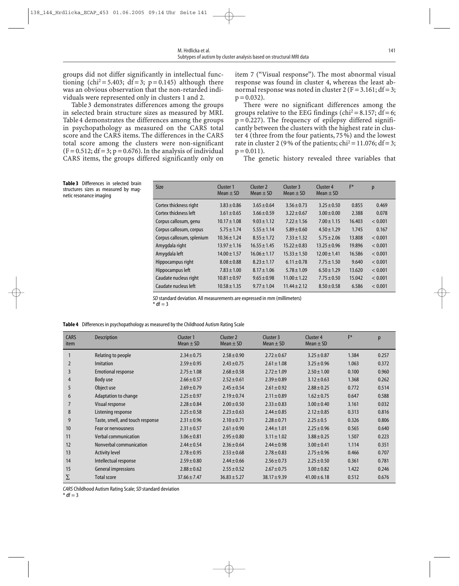groups did not differ significantly in intellectual functioning (chi<sup>2</sup> = 5.403; df = 3; p = 0.145) although there was an obvious observation that the non-retarded individuals were represented only in clusters 1 and 2.

Table 3 demonstrates differences among the groups in selected brain structure sizes as measured by MRI. Table 4 demonstrates the differences among the groups in psychopathology as measured on the CARS total score and the CARS items. The differences in the CARS total score among the clusters were non-significant  $(F = 0.512; df = 3; p = 0.676)$ . In the analysis of individual CARS items, the groups differed significantly only on item 7 ("Visual response"). The most abnormal visual response was found in cluster 4, whereas the least abnormal response was noted in cluster 2 ( $F = 3.161$ ;  $df = 3$ ;  $p = 0.032$ ).

There were no significant differences among the groups relative to the EEG findings (chi<sup>2</sup> = 8.157;  $df = 6$ ;  $p = 0.227$ ). The frequency of epilepsy differed significantly between the clusters with the highest rate in cluster 4 (three from the four patients, 75 %) and the lowest rate in cluster 2 (9% of the patients; chi<sup>2</sup> = 11.076; df = 3;  $p = 0.011$ .

The genetic history revealed three variables that

Table 3 Differences in selected brain structures sizes as measured by magnetic resonance imaging

| <b>Size</b>               | Cluster 1<br>Mean $\pm$ SD | Cluster 2<br>Mean $\pm$ SD | Cluster 3<br>Mean $\pm$ SD | Cluster 4<br>Mean $\pm$ SD | F*     | p       |
|---------------------------|----------------------------|----------------------------|----------------------------|----------------------------|--------|---------|
| Cortex thickness right    | $3.83 \pm 0.86$            | $3.65 \pm 0.64$            | $3.56 \pm 0.73$            | $3.25 \pm 0.50$            | 0.855  | 0.469   |
| Cortex thickness left     | $3.61 \pm 0.65$            | $3.66 \pm 0.59$            | $3.22 \pm 0.67$            | $3.00 \pm 0.00$            | 2.388  | 0.078   |
| Corpus callosum, genu     | $10.17 \pm 1.08$           | $9.03 \pm 1.12$            | $7.22 \pm 1.56$            | $7.00 \pm 1.15$            | 16.403 | < 0.001 |
| Corpus callosum, corpus   | $5.75 \pm 1.74$            | $5.55 \pm 1.14$            | $5.89 \pm 0.60$            | $4.50 \pm 1.29$            | 1.745  | 0.167   |
| Corpus callosum, splenium | $10.36 \pm 1.24$           | $8.55 \pm 1.72$            | $7.33 \pm 1.32$            | $5.75 \pm 2.06$            | 13.808 | < 0.001 |
| Amygdala right            | $13.97 \pm 1.16$           | $16.55 \pm 1.45$           | $15.22 \pm 0.83$           | $13.25 \pm 0.96$           | 19.896 | < 0.001 |
| Amygdala left             | $14.00 \pm 1.57$           | $16.06 \pm 1.17$           | $15.33 \pm 1.50$           | $12.00 \pm 1.41$           | 16.586 | < 0.001 |
| Hippocampus right         | $8.08 \pm 0.88$            | $8.23 \pm 1.17$            | $6.11 \pm 0.78$            | $7.75 \pm 1.50$            | 9.640  | < 0.001 |
| Hippocampus left          | $7.83 \pm 1.00$            | $8.17 \pm 1.06$            | $5.78 \pm 1.09$            | $6.50 \pm 1.29$            | 13.620 | < 0.001 |
| Caudate nucleus right     | $10.81 \pm 0.97$           | $9.65 \pm 0.98$            | $11.00 \pm 1.22$           | $7.75 \pm 0.50$            | 15.042 | < 0.001 |
| Caudate nucleus left      | $10.58 \pm 1.35$           | $9.77 \pm 1.04$            | $11.44 \pm 2.12$           | $8.50 \pm 0.58$            | 6.586  | < 0.001 |

SD standard deviation. All measurements are expressed in mm (millimeters)

 $*$  df = 3

| <b>CARS</b><br>item | <b>Description</b>               | Cluster 1<br>Mean $\pm$ SD | Cluster 2<br>Mean $\pm$ SD | Cluster 3<br>Mean $\pm$ SD | Cluster 4<br>Mean $\pm$ SD | F*    | p     |
|---------------------|----------------------------------|----------------------------|----------------------------|----------------------------|----------------------------|-------|-------|
|                     | Relating to people               | $2.34 \pm 0.75$            | $2.58 \pm 0.90$            | $2.72 \pm 0.67$            | $3.25 \pm 0.87$            | 1.384 | 0.257 |
| $\overline{2}$      | <b>Imitation</b>                 | $2.59 \pm 0.95$            | $2.43 \pm 0.75$            | $2.61 \pm 1.08$            | $3.25 \pm 0.96$            | 1.063 | 0.372 |
| 3                   | <b>Emotional response</b>        | $2.75 \pm 1.08$            | $2.68 \pm 0.58$            | $2.72 \pm 1.09$            | $2.50 \pm 1.00$            | 0.100 | 0.960 |
| 4                   | Body use                         | $2.66 \pm 0.57$            | $2.52 \pm 0.61$            | $2.39 \pm 0.89$            | $3.12 \pm 0.63$            | 1.368 | 0.262 |
| 5                   | Object use                       | $2.69 \pm 0.79$            | $2.45 \pm 0.54$            | $2.61 \pm 0.92$            | $2.88 \pm 0.25$            | 0.772 | 0.514 |
| 6                   | Adaptation to change             | $2.25 \pm 0.97$            | $2.19 \pm 0.74$            | $2.11 \pm 0.89$            | $1.62 \pm 0.75$            | 0.647 | 0.588 |
|                     | Visual response                  | $2.28 \pm 0.84$            | $2.00 \pm 0.50$            | $2.33 \pm 0.83$            | $3.00 \pm 0.40$            | 3.161 | 0.032 |
| 8                   | Listening response               | $2.25 \pm 0.58$            | $2.23 \pm 0.63$            | $2.44 \pm 0.85$            | $2.12 \pm 0.85$            | 0.313 | 0.816 |
| 9                   | Taste, smell, and touch response | $2.31 \pm 0.96$            | $2.10 \pm 0.71$            | $2.28 \pm 0.71$            | $2.25 \pm 0.5$             | 0.326 | 0.806 |
| 10                  | Fear or nervousness              | $2.31 \pm 0.57$            | $2.61 \pm 0.90$            | $2.44 \pm 1.01$            | $2.25 \pm 0.96$            | 0.565 | 0.640 |
| 11                  | <b>Verbal communication</b>      | $3.06 \pm 0.81$            | $2.95 \pm 0.80$            | $3.11 \pm 1.02$            | $3.88 \pm 0.25$            | 1.507 | 0.223 |
| 12                  | Nonverbal communication          | $2.44 \pm 0.54$            | $2.36 \pm 0.64$            | $2.44 \pm 0.98$            | $3.00 \pm 0.41$            | 1.114 | 0.351 |
| 13                  | <b>Activity level</b>            | $2.78 \pm 0.95$            | $2.53 \pm 0.68$            | $2.78 \pm 0.83$            | $2.75 \pm 0.96$            | 0.466 | 0.707 |
| 14                  | Intellectual response            | $2.59 \pm 0.80$            | $2.44 \pm 0.66$            | $2.56 \pm 0.73$            | $2.25 \pm 0.50$            | 0.361 | 0.781 |
| 15                  | General impressions              | $2.88 \pm 0.62$            | $2.55 \pm 0.52$            | $2.67 \pm 0.75$            | $3.00 \pm 0.82$            | 1.422 | 0.246 |
| Σ                   | <b>Total score</b>               | $37.66 \pm 7.47$           | $36.83 \pm 5.27$           | 38.17±9.39                 | $41.00 \pm 6.18$           | 0.512 | 0.676 |

CARS Childhood Autism Rating Scale; SD standard deviation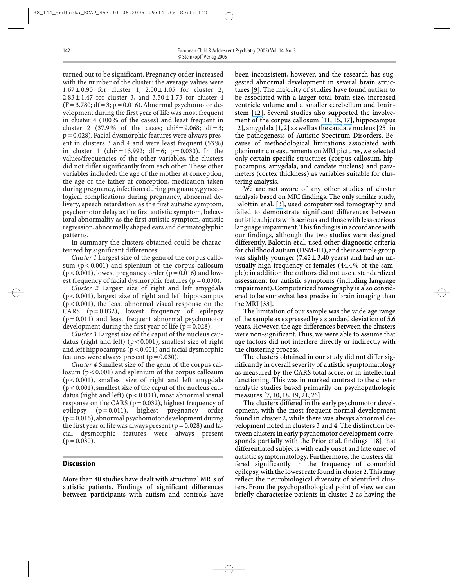turned out to be significant. Pregnancy order increased with the number of the cluster: the average values were  $1.67 \pm 0.90$  for cluster 1,  $2.00 \pm 1.05$  for cluster 2,  $2.83 \pm 1.47$  for cluster 3, and  $3.50 \pm 1.73$  for cluster 4  $(F = 3.780; df = 3; p = 0.016)$ . Abnormal psychomotor development during the first year of life was most frequent in cluster 4 (100 % of the cases) and least frequent in cluster 2 (37.9% of the cases;  $\chi$ chi<sup>2</sup>=9.068; df=3;  $p = 0.028$ ). Facial dysmorphic features were always present in clusters 3 and 4 and were least frequent (53 %) in cluster 1 (chi<sup>2</sup>=13.992; df = 6; p = 0.030). In the values/frequencies of the other variables, the clusters did not differ significantly from each other. These other variables included: the age of the mother at conception, the age of the father at conception, medication taken during pregnancy,infections during pregnancy,gynecological complications during pregnancy, abnormal delivery, speech retardation as the first autistic symptom, psychomotor delay as the first autistic symptom, behavioral abnormality as the first autistic symptom, autistic regression,abnormally shaped ears and dermatoglyphic patterns.

In summary the clusters obtained could be characterized by significant differences:

*Cluster 1* Largest size of the genu of the corpus callosum  $(p < 0.001)$  and splenium of the corpus callosum  $(p < 0.001)$ , lowest pregnancy order  $(p = 0.016)$  and lowest frequency of facial dysmorphic features ( $p = 0.030$ ).

*Cluster 2* Largest size of right and left amygdala  $(p < 0.001)$ , largest size of right and left hippocampus  $(p < 0.001)$ , the least abnormal visual response on the CARS ( $p = 0.032$ ), lowest frequency of epilepsy  $(p = 0.011)$  and least frequent abnormal psychomotor development during the first year of life ( $p = 0.028$ ).

*Cluster 3* Largest size of the caput of the nucleus caudatus (right and left) ( $p$  < 0.001), smallest size of right and left hippocampus (p < 0.001) and facial dysmorphic features were always present ( $p = 0.030$ ).

*Cluster 4* Smallest size of the genu of the corpus callosum ( $p < 0.001$ ) and splenium of the corpus callosum (p < 0.001), smallest size of right and left amygdala  $(p < 0.001)$ , smallest size of the caput of the nucleus caudatus (right and left)  $(p < 0.001)$ , most abnormal visual response on the CARS ( $p = 0.032$ ), highest frequency of epilepsy  $(p=0.011)$ , highest pregnancy order  $(p = 0.016)$ , abnormal psychomotor development during the first year of life was always present ( $p = 0.028$ ) and facial dysmorphic features were always present  $(p = 0.030)$ .

# **Discussion**

More than 40 studies have dealt with structural MRIs of autistic patients. Findings of significant differences between participants with autism and controls have been inconsistent, however, and the research has suggested abnormal development in several brain structures [\[9\]](https://www.researchgate.net/publication/12284141_Annotation_MRI_Neuroimaging_of_Childhood_Psychiatric_Disorders_A_Selective_Review?el=1_x_8&enrichId=rgreq-302ab7671805f9d4384f4473ffe0dbbd-XXX&enrichSource=Y292ZXJQYWdlOzI0MDE3MTgxNjtBUzoxODI2NDA1MTQ3MDc0NTZAMTQyMDU1NjMwMTAxOA==). The majority of studies have found autism to be associated with a larger total brain size, increased ventricle volume and a smaller cerebellum and brainstem [\[12\]](https://www.researchgate.net/publication/12427393_Review_of_Neuroimaging_Studies_of_Child_and_Adolescent_Psychiatric_Disorders_From_the_Past_10_Years?el=1_x_8&enrichId=rgreq-302ab7671805f9d4384f4473ffe0dbbd-XXX&enrichSource=Y292ZXJQYWdlOzI0MDE3MTgxNjtBUzoxODI2NDA1MTQ3MDc0NTZAMTQyMDU1NjMwMTAxOA==). Several studies also supported the involvement of the corpus callosum [\[11,](https://www.researchgate.net/publication/12266188_Corpus_callosum_size_in_autism?el=1_x_8&enrichId=rgreq-302ab7671805f9d4384f4473ffe0dbbd-XXX&enrichSource=Y292ZXJQYWdlOzI0MDE3MTgxNjtBUzoxODI2NDA1MTQ3MDc0NTZAMTQyMDU1NjMwMTAxOA==) [15,](https://www.researchgate.net/publication/12730000_An_MRI_Study_of_the_Corpus_Callosum_and_Cerebellum_in_Mentally_Retarded_Autistic_Individuals?el=1_x_8&enrichId=rgreq-302ab7671805f9d4384f4473ffe0dbbd-XXX&enrichSource=Y292ZXJQYWdlOzI0MDE3MTgxNjtBUzoxODI2NDA1MTQ3MDc0NTZAMTQyMDU1NjMwMTAxOA==) [17\]](https://www.researchgate.net/publication/13973327_An_MRI_study_of_the_corpus_callosum_in_autism?el=1_x_8&enrichId=rgreq-302ab7671805f9d4384f4473ffe0dbbd-XXX&enrichSource=Y292ZXJQYWdlOzI0MDE3MTgxNjtBUzoxODI2NDA1MTQ3MDc0NTZAMTQyMDU1NjMwMTAxOA==), hippocampus [\[2\]](https://www.researchgate.net/publication/12701212_MRI_volumes_of_amygdala_and_hippocampus_in_non-mentally_retarded_autistic_adolescents_and_adults?el=1_x_8&enrichId=rgreq-302ab7671805f9d4384f4473ffe0dbbd-XXX&enrichSource=Y292ZXJQYWdlOzI0MDE3MTgxNjtBUzoxODI2NDA1MTQ3MDc0NTZAMTQyMDU1NjMwMTAxOA==), amygdala [1, [2\]](https://www.researchgate.net/publication/12701212_MRI_volumes_of_amygdala_and_hippocampus_in_non-mentally_retarded_autistic_adolescents_and_adults?el=1_x_8&enrichId=rgreq-302ab7671805f9d4384f4473ffe0dbbd-XXX&enrichSource=Y292ZXJQYWdlOzI0MDE3MTgxNjtBUzoxODI2NDA1MTQ3MDc0NTZAMTQyMDU1NjMwMTAxOA==) as well as the caudate nucleus [\[25\]](https://www.researchgate.net/publication/12907942_An_MRI_study_of_basal_ganglia_in_autism?el=1_x_8&enrichId=rgreq-302ab7671805f9d4384f4473ffe0dbbd-XXX&enrichSource=Y292ZXJQYWdlOzI0MDE3MTgxNjtBUzoxODI2NDA1MTQ3MDc0NTZAMTQyMDU1NjMwMTAxOA==) in the pathogenesis of Autistic Spectrum Disorders. Because of methodological limitations associated with planimetric measurements on MRI pictures, we selected only certain specific structures (corpus callosum, hippocampus, amygdala, and caudate nucleus) and parameters (cortex thickness) as variables suitable for clustering analysis.

We are not aware of any other studies of cluster analysis based on MRI findings. The only similar study, Balottin et al. [\[3\]](https://www.researchgate.net/publication/20448528_Infantile_autism_and_computerized_tomography_brain-scan_findings_Specific_versus_nonspecific_abnormalities?el=1_x_8&enrichId=rgreq-302ab7671805f9d4384f4473ffe0dbbd-XXX&enrichSource=Y292ZXJQYWdlOzI0MDE3MTgxNjtBUzoxODI2NDA1MTQ3MDc0NTZAMTQyMDU1NjMwMTAxOA==), used computerized tomography and failed to demonstrate significant differences between autistic subjects with serious and those with less-serious language impairment.This finding is in accordance with our findings, although the two studies were designed differently. Balottin et al. used other diagnostic criteria for childhood autism (DSM-III), and their sample group was slightly younger  $(7.42 \pm 3.40 \text{ years})$  and had an unusually high frequency of females (44.4 % of the sample); in addition the authors did not use a standardized assessment for autistic symptoms (including language impairment). Computerized tomography is also considered to be somewhat less precise in brain imaging than the MRI [33].

The limitation of our sample was the wide age range of the sample as expressed by a standard deviation of 5.6 years. However, the age differences between the clusters were non-significant. Thus, we were able to assume that age factors did not interfere directly or indirectly with the clustering process.

The clusters obtained in our study did not differ significantly in overall severity of autistic symptomatology as measured by the CARS total score, or in intellectual functioning. This was in marked contrast to the cluster analytic studies based primarily on psychopathologic measures [\[7,](https://www.researchgate.net/publication/15009837_Subtypes_of_autism_by_cluster_analysis?el=1_x_8&enrichId=rgreq-302ab7671805f9d4384f4473ffe0dbbd-XXX&enrichSource=Y292ZXJQYWdlOzI0MDE3MTgxNjtBUzoxODI2NDA1MTQ3MDc0NTZAMTQyMDU1NjMwMTAxOA==) [10,](https://www.researchgate.net/publication/15403457_Quantified_multidimensional_assessment_of_autism_and_other_pervasive_developmental_disorders_Application_for_bioclinical_research?el=1_x_8&enrichId=rgreq-302ab7671805f9d4384f4473ffe0dbbd-XXX&enrichSource=Y292ZXJQYWdlOzI0MDE3MTgxNjtBUzoxODI2NDA1MTQ3MDc0NTZAMTQyMDU1NjMwMTAxOA==) [18,](https://www.researchgate.net/publication/21949707_The_classification_of_childhood_psychoses_by_numerical_taxonomy?el=1_x_8&enrichId=rgreq-302ab7671805f9d4384f4473ffe0dbbd-XXX&enrichSource=Y292ZXJQYWdlOzI0MDE3MTgxNjtBUzoxODI2NDA1MTQ3MDc0NTZAMTQyMDU1NjMwMTAxOA==) [19,](https://www.researchgate.net/publication/19940176_Cluster_analytic_identification_of_autistic_preschoolers?el=1_x_8&enrichId=rgreq-302ab7671805f9d4384f4473ffe0dbbd-XXX&enrichSource=Y292ZXJQYWdlOzI0MDE3MTgxNjtBUzoxODI2NDA1MTQ3MDc0NTZAMTQyMDU1NjMwMTAxOA==) [21,](https://www.researchgate.net/publication/14592944_Identification_of_behaviour_profiles_with_a_population_of_autistic_children_using_multivariate_statistical_methods?el=1_x_8&enrichId=rgreq-302ab7671805f9d4384f4473ffe0dbbd-XXX&enrichSource=Y292ZXJQYWdlOzI0MDE3MTgxNjtBUzoxODI2NDA1MTQ3MDc0NTZAMTQyMDU1NjMwMTAxOA==) [26\]](https://www.researchgate.net/publication/14482437_Empirically_derived_subtypes_of_pervasive_developmental_disorders_A_cluster_analytic_study_Journal_of_Autism_Developmental_Disorders_25_561-578?el=1_x_8&enrichId=rgreq-302ab7671805f9d4384f4473ffe0dbbd-XXX&enrichSource=Y292ZXJQYWdlOzI0MDE3MTgxNjtBUzoxODI2NDA1MTQ3MDc0NTZAMTQyMDU1NjMwMTAxOA==).

The clusters differed in the early psychomotor development, with the most frequent normal development found in cluster 2, while there was always abnormal development noted in clusters 3 and 4. The distinction between clusters in early psychomotor development corresponds partially with the Prior et al. findings [\[18\]](https://www.researchgate.net/publication/21949707_The_classification_of_childhood_psychoses_by_numerical_taxonomy?el=1_x_8&enrichId=rgreq-302ab7671805f9d4384f4473ffe0dbbd-XXX&enrichSource=Y292ZXJQYWdlOzI0MDE3MTgxNjtBUzoxODI2NDA1MTQ3MDc0NTZAMTQyMDU1NjMwMTAxOA==) that differentiated subjects with early onset and late onset of autistic symptomatology. Furthermore, the clusters differed significantly in the frequency of comorbid epilepsy,with the lowest rate found in cluster 2.This may reflect the neurobiological diversity of identified clusters. From the psychopathological point of view we can briefly characterize patients in cluster 2 as having the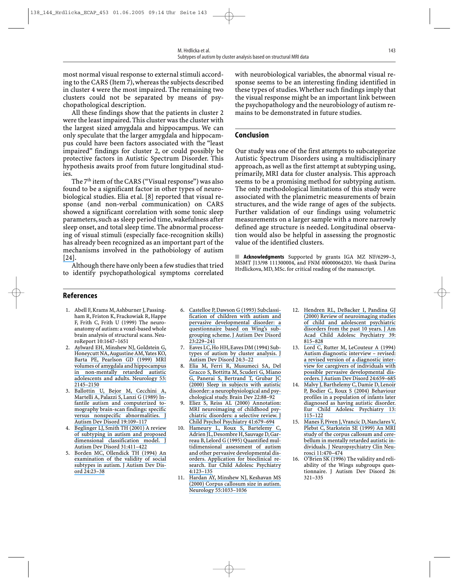most normal visual response to external stimuli according to the CARS (Item  $\overline{7}$ ), whereas the subjects described in cluster 4 were the most impaired. The remaining two clusters could not be separated by means of psychopathological description.

All these findings show that the patients in cluster 2 were the least impaired. This cluster was the cluster with the largest sized amygdala and hippocampus. We can only speculate that the larger amygdala and hippocampus could have been factors associated with the "least impaired" findings for cluster 2, or could possibly be protective factors in Autistic Spectrum Disorder. This hypothesis awaits proof from future longitudinal studies.

The  $7<sup>th</sup>$  item of the CARS ("Visual response") was also found to be a significant factor in other types of neurobiological studies. Elia et al. [\[8\]](https://www.researchgate.net/publication/12592887_Sleep_in_subjects_with_autistic_disorder_A_neurophysiological_and_psychological_study?el=1_x_8&enrichId=rgreq-302ab7671805f9d4384f4473ffe0dbbd-XXX&enrichSource=Y292ZXJQYWdlOzI0MDE3MTgxNjtBUzoxODI2NDA1MTQ3MDc0NTZAMTQyMDU1NjMwMTAxOA==) reported that visual response (and non-verbal communication) on CARS showed a significant correlation with some tonic sleep parameters, such as sleep period time, wakefulness after sleep onset, and total sleep time. The abnormal processing of visual stimuli (especially face-recognition skills) has already been recognized as an important part of the mechanisms involved in the pathobiology of autism [\[24\]](https://www.researchgate.net/publication/12547304_Abnormal_Ventral_Temporal_Cortical_Activity_During_Face_Discrimination_Among_Individuals_With_Autism_and_Asperger_Syndrome?el=1_x_8&enrichId=rgreq-302ab7671805f9d4384f4473ffe0dbbd-XXX&enrichSource=Y292ZXJQYWdlOzI0MDE3MTgxNjtBUzoxODI2NDA1MTQ3MDc0NTZAMTQyMDU1NjMwMTAxOA==).

Although there have only been a few studies that tried to identify psychopathological symptoms correlated with neurobiological variables, the abnormal visual response seems to be an interesting finding identified in these types of studies.Whether such findings imply that the visual response might be an important link between the psychopathology and the neurobiology of autism remains to be demonstrated in future studies.

# Conclusion

Our study was one of the first attempts to subcategorize Autistic Spectrum Disorders using a multidisciplinary approach, as well as the first attempt at subtyping using, primarily, MRI data for cluster analysis. This approach seems to be a promising method for subtyping autism. The only methodological limitations of this study were associated with the planimetric measurements of brain structures, and the wide range of ages of the subjects. Further validation of our findings using volumetric measurements on a larger sample with a more narrowly defined age structure is needed. Longitudinal observation would also be helpful in assessing the prognostic value of the identified clusters.

■ Acknowledgments Supported by grants IGA MZ NF/6299-3, MSMT J13/98 111300004, and FNM 00000064203. We thank Darina Hrdlickova, MD, MSc. for critical reading of the manuscript.

## References

- 1. Abell F, Krams M,Ashburner J, Passingham R, Friston K, Frackowiak R, Happe F, Frith C, Frith U (1999) The neuroanatomy of autism: a voxel-based whole brain analysis of structural scans. NeuroReport 10:1647–1651
- 2. [Aylward EH, Minshew NJ, Goldstein G,](https://www.researchgate.net/publication/12701212_MRI_volumes_of_amygdala_and_hippocampus_in_non-mentally_retarded_autistic_adolescents_and_adults?el=1_x_8&enrichId=rgreq-302ab7671805f9d4384f4473ffe0dbbd-XXX&enrichSource=Y292ZXJQYWdlOzI0MDE3MTgxNjtBUzoxODI2NDA1MTQ3MDc0NTZAMTQyMDU1NjMwMTAxOA==) [Honeycutt NA,Augustine AM,Yates KO,](https://www.researchgate.net/publication/12701212_MRI_volumes_of_amygdala_and_hippocampus_in_non-mentally_retarded_autistic_adolescents_and_adults?el=1_x_8&enrichId=rgreq-302ab7671805f9d4384f4473ffe0dbbd-XXX&enrichSource=Y292ZXJQYWdlOzI0MDE3MTgxNjtBUzoxODI2NDA1MTQ3MDc0NTZAMTQyMDU1NjMwMTAxOA==) [Barta PE, Pearlson GD \(1999\) MRI](https://www.researchgate.net/publication/12701212_MRI_volumes_of_amygdala_and_hippocampus_in_non-mentally_retarded_autistic_adolescents_and_adults?el=1_x_8&enrichId=rgreq-302ab7671805f9d4384f4473ffe0dbbd-XXX&enrichSource=Y292ZXJQYWdlOzI0MDE3MTgxNjtBUzoxODI2NDA1MTQ3MDc0NTZAMTQyMDU1NjMwMTAxOA==) [volumes of amygdala and hippocampus](https://www.researchgate.net/publication/12701212_MRI_volumes_of_amygdala_and_hippocampus_in_non-mentally_retarded_autistic_adolescents_and_adults?el=1_x_8&enrichId=rgreq-302ab7671805f9d4384f4473ffe0dbbd-XXX&enrichSource=Y292ZXJQYWdlOzI0MDE3MTgxNjtBUzoxODI2NDA1MTQ3MDc0NTZAMTQyMDU1NjMwMTAxOA==) [in non-mentally retarded autistic](https://www.researchgate.net/publication/12701212_MRI_volumes_of_amygdala_and_hippocampus_in_non-mentally_retarded_autistic_adolescents_and_adults?el=1_x_8&enrichId=rgreq-302ab7671805f9d4384f4473ffe0dbbd-XXX&enrichSource=Y292ZXJQYWdlOzI0MDE3MTgxNjtBUzoxODI2NDA1MTQ3MDc0NTZAMTQyMDU1NjMwMTAxOA==) [adolescents and adults. Neurology 53:](https://www.researchgate.net/publication/12701212_MRI_volumes_of_amygdala_and_hippocampus_in_non-mentally_retarded_autistic_adolescents_and_adults?el=1_x_8&enrichId=rgreq-302ab7671805f9d4384f4473ffe0dbbd-XXX&enrichSource=Y292ZXJQYWdlOzI0MDE3MTgxNjtBUzoxODI2NDA1MTQ3MDc0NTZAMTQyMDU1NjMwMTAxOA==) [2145–2150](https://www.researchgate.net/publication/12701212_MRI_volumes_of_amygdala_and_hippocampus_in_non-mentally_retarded_autistic_adolescents_and_adults?el=1_x_8&enrichId=rgreq-302ab7671805f9d4384f4473ffe0dbbd-XXX&enrichSource=Y292ZXJQYWdlOzI0MDE3MTgxNjtBUzoxODI2NDA1MTQ3MDc0NTZAMTQyMDU1NjMwMTAxOA==)
- 3. [Ballottin U, Bejor M, Cecchini A,](https://www.researchgate.net/publication/20448528_Infantile_autism_and_computerized_tomography_brain-scan_findings_Specific_versus_nonspecific_abnormalities?el=1_x_8&enrichId=rgreq-302ab7671805f9d4384f4473ffe0dbbd-XXX&enrichSource=Y292ZXJQYWdlOzI0MDE3MTgxNjtBUzoxODI2NDA1MTQ3MDc0NTZAMTQyMDU1NjMwMTAxOA==) [Martelli A, Palazzi S, Lanzi G \(1989\) In](https://www.researchgate.net/publication/20448528_Infantile_autism_and_computerized_tomography_brain-scan_findings_Specific_versus_nonspecific_abnormalities?el=1_x_8&enrichId=rgreq-302ab7671805f9d4384f4473ffe0dbbd-XXX&enrichSource=Y292ZXJQYWdlOzI0MDE3MTgxNjtBUzoxODI2NDA1MTQ3MDc0NTZAMTQyMDU1NjMwMTAxOA==)[fantile autism and computerized to](https://www.researchgate.net/publication/20448528_Infantile_autism_and_computerized_tomography_brain-scan_findings_Specific_versus_nonspecific_abnormalities?el=1_x_8&enrichId=rgreq-302ab7671805f9d4384f4473ffe0dbbd-XXX&enrichSource=Y292ZXJQYWdlOzI0MDE3MTgxNjtBUzoxODI2NDA1MTQ3MDc0NTZAMTQyMDU1NjMwMTAxOA==)[mography brain-scan findings: specific](https://www.researchgate.net/publication/20448528_Infantile_autism_and_computerized_tomography_brain-scan_findings_Specific_versus_nonspecific_abnormalities?el=1_x_8&enrichId=rgreq-302ab7671805f9d4384f4473ffe0dbbd-XXX&enrichSource=Y292ZXJQYWdlOzI0MDE3MTgxNjtBUzoxODI2NDA1MTQ3MDc0NTZAMTQyMDU1NjMwMTAxOA==) [versus nonspecific abnormalities. J](https://www.researchgate.net/publication/20448528_Infantile_autism_and_computerized_tomography_brain-scan_findings_Specific_versus_nonspecific_abnormalities?el=1_x_8&enrichId=rgreq-302ab7671805f9d4384f4473ffe0dbbd-XXX&enrichSource=Y292ZXJQYWdlOzI0MDE3MTgxNjtBUzoxODI2NDA1MTQ3MDc0NTZAMTQyMDU1NjMwMTAxOA==) [Autism Dev Disord 19:109–117](https://www.researchgate.net/publication/20448528_Infantile_autism_and_computerized_tomography_brain-scan_findings_Specific_versus_nonspecific_abnormalities?el=1_x_8&enrichId=rgreq-302ab7671805f9d4384f4473ffe0dbbd-XXX&enrichSource=Y292ZXJQYWdlOzI0MDE3MTgxNjtBUzoxODI2NDA1MTQ3MDc0NTZAMTQyMDU1NjMwMTAxOA==)
- 4. [Beglinger LJ, Smith TH \(2001\) A review](https://www.researchgate.net/publication/11777829_A_Review_of_Subtyping_in_Autism_and_Proposed_Dimensional_Classification_Model?el=1_x_8&enrichId=rgreq-302ab7671805f9d4384f4473ffe0dbbd-XXX&enrichSource=Y292ZXJQYWdlOzI0MDE3MTgxNjtBUzoxODI2NDA1MTQ3MDc0NTZAMTQyMDU1NjMwMTAxOA==) [of subtyping in autism and proposed](https://www.researchgate.net/publication/11777829_A_Review_of_Subtyping_in_Autism_and_Proposed_Dimensional_Classification_Model?el=1_x_8&enrichId=rgreq-302ab7671805f9d4384f4473ffe0dbbd-XXX&enrichSource=Y292ZXJQYWdlOzI0MDE3MTgxNjtBUzoxODI2NDA1MTQ3MDc0NTZAMTQyMDU1NjMwMTAxOA==) [dimensional classification model. J](https://www.researchgate.net/publication/11777829_A_Review_of_Subtyping_in_Autism_and_Proposed_Dimensional_Classification_Model?el=1_x_8&enrichId=rgreq-302ab7671805f9d4384f4473ffe0dbbd-XXX&enrichSource=Y292ZXJQYWdlOzI0MDE3MTgxNjtBUzoxODI2NDA1MTQ3MDc0NTZAMTQyMDU1NjMwMTAxOA==) [Autism Dev Disord 31:411–422](https://www.researchgate.net/publication/11777829_A_Review_of_Subtyping_in_Autism_and_Proposed_Dimensional_Classification_Model?el=1_x_8&enrichId=rgreq-302ab7671805f9d4384f4473ffe0dbbd-XXX&enrichSource=Y292ZXJQYWdlOzI0MDE3MTgxNjtBUzoxODI2NDA1MTQ3MDc0NTZAMTQyMDU1NjMwMTAxOA==)
- 5. [Borden MC, Ollendick TH \(1994\) An](https://www.researchgate.net/publication/15009836_An_examination_of_the_validity_of_social_subtypes_in_Autism?el=1_x_8&enrichId=rgreq-302ab7671805f9d4384f4473ffe0dbbd-XXX&enrichSource=Y292ZXJQYWdlOzI0MDE3MTgxNjtBUzoxODI2NDA1MTQ3MDc0NTZAMTQyMDU1NjMwMTAxOA==) [examination of the validity of social](https://www.researchgate.net/publication/15009836_An_examination_of_the_validity_of_social_subtypes_in_Autism?el=1_x_8&enrichId=rgreq-302ab7671805f9d4384f4473ffe0dbbd-XXX&enrichSource=Y292ZXJQYWdlOzI0MDE3MTgxNjtBUzoxODI2NDA1MTQ3MDc0NTZAMTQyMDU1NjMwMTAxOA==) [subtypes in autism. J Autism Dev Dis](https://www.researchgate.net/publication/15009836_An_examination_of_the_validity_of_social_subtypes_in_Autism?el=1_x_8&enrichId=rgreq-302ab7671805f9d4384f4473ffe0dbbd-XXX&enrichSource=Y292ZXJQYWdlOzI0MDE3MTgxNjtBUzoxODI2NDA1MTQ3MDc0NTZAMTQyMDU1NjMwMTAxOA==)[ord 24:23–38](https://www.researchgate.net/publication/15009836_An_examination_of_the_validity_of_social_subtypes_in_Autism?el=1_x_8&enrichId=rgreq-302ab7671805f9d4384f4473ffe0dbbd-XXX&enrichSource=Y292ZXJQYWdlOzI0MDE3MTgxNjtBUzoxODI2NDA1MTQ3MDc0NTZAMTQyMDU1NjMwMTAxOA==)
- 6. [Castelloe P, Dawson G \(1993\) Subclassi](https://www.researchgate.net/publication/14868345_Subclassification_of_children_with_autism_and_pervasive_developmental_disorder_A_questionnaire_based_on_Wing)[fication of children with autism and](https://www.researchgate.net/publication/14868345_Subclassification_of_children_with_autism_and_pervasive_developmental_disorder_A_questionnaire_based_on_Wing) [pervasive developmental disorder: a](https://www.researchgate.net/publication/14868345_Subclassification_of_children_with_autism_and_pervasive_developmental_disorder_A_questionnaire_based_on_Wing) [questionnaire based on Wing's sub](https://www.researchgate.net/publication/14868345_Subclassification_of_children_with_autism_and_pervasive_developmental_disorder_A_questionnaire_based_on_Wing)[grouping scheme. J Autism Dev Disord](https://www.researchgate.net/publication/14868345_Subclassification_of_children_with_autism_and_pervasive_developmental_disorder_A_questionnaire_based_on_Wing) [23:229–241](https://www.researchgate.net/publication/14868345_Subclassification_of_children_with_autism_and_pervasive_developmental_disorder_A_questionnaire_based_on_Wing)
- 7. [Eaves LC,Ho HH,Eaves DM \(1994\) Sub](https://www.researchgate.net/publication/15009837_Subtypes_of_autism_by_cluster_analysis?el=1_x_8&enrichId=rgreq-302ab7671805f9d4384f4473ffe0dbbd-XXX&enrichSource=Y292ZXJQYWdlOzI0MDE3MTgxNjtBUzoxODI2NDA1MTQ3MDc0NTZAMTQyMDU1NjMwMTAxOA==)[types of autism by cluster analysis. J](https://www.researchgate.net/publication/15009837_Subtypes_of_autism_by_cluster_analysis?el=1_x_8&enrichId=rgreq-302ab7671805f9d4384f4473ffe0dbbd-XXX&enrichSource=Y292ZXJQYWdlOzI0MDE3MTgxNjtBUzoxODI2NDA1MTQ3MDc0NTZAMTQyMDU1NjMwMTAxOA==) [Autism Dev Disord 24:3–22](https://www.researchgate.net/publication/15009837_Subtypes_of_autism_by_cluster_analysis?el=1_x_8&enrichId=rgreq-302ab7671805f9d4384f4473ffe0dbbd-XXX&enrichSource=Y292ZXJQYWdlOzI0MDE3MTgxNjtBUzoxODI2NDA1MTQ3MDc0NTZAMTQyMDU1NjMwMTAxOA==)
- 8. [Elia M, Ferri R, Musumeci SA, Del](https://www.researchgate.net/publication/12592887_Sleep_in_subjects_with_autistic_disorder_A_neurophysiological_and_psychological_study?el=1_x_8&enrichId=rgreq-302ab7671805f9d4384f4473ffe0dbbd-XXX&enrichSource=Y292ZXJQYWdlOzI0MDE3MTgxNjtBUzoxODI2NDA1MTQ3MDc0NTZAMTQyMDU1NjMwMTAxOA==) Gracco S, [Bottitta M, Scuderi G, Miano](https://www.researchgate.net/publication/12592887_Sleep_in_subjects_with_autistic_disorder_A_neurophysiological_and_psychological_study?el=1_x_8&enrichId=rgreq-302ab7671805f9d4384f4473ffe0dbbd-XXX&enrichSource=Y292ZXJQYWdlOzI0MDE3MTgxNjtBUzoxODI2NDA1MTQ3MDc0NTZAMTQyMDU1NjMwMTAxOA==) [G, Panerai S, Bertrand T, Grubar JC](https://www.researchgate.net/publication/12592887_Sleep_in_subjects_with_autistic_disorder_A_neurophysiological_and_psychological_study?el=1_x_8&enrichId=rgreq-302ab7671805f9d4384f4473ffe0dbbd-XXX&enrichSource=Y292ZXJQYWdlOzI0MDE3MTgxNjtBUzoxODI2NDA1MTQ3MDc0NTZAMTQyMDU1NjMwMTAxOA==) [\(2000\) Sleep in subjects with autistic](https://www.researchgate.net/publication/12592887_Sleep_in_subjects_with_autistic_disorder_A_neurophysiological_and_psychological_study?el=1_x_8&enrichId=rgreq-302ab7671805f9d4384f4473ffe0dbbd-XXX&enrichSource=Y292ZXJQYWdlOzI0MDE3MTgxNjtBUzoxODI2NDA1MTQ3MDc0NTZAMTQyMDU1NjMwMTAxOA==) [disorder: a neurophysiological and psy](https://www.researchgate.net/publication/12592887_Sleep_in_subjects_with_autistic_disorder_A_neurophysiological_and_psychological_study?el=1_x_8&enrichId=rgreq-302ab7671805f9d4384f4473ffe0dbbd-XXX&enrichSource=Y292ZXJQYWdlOzI0MDE3MTgxNjtBUzoxODI2NDA1MTQ3MDc0NTZAMTQyMDU1NjMwMTAxOA==)[chological study. Brain Dev 22:88–92](https://www.researchgate.net/publication/12592887_Sleep_in_subjects_with_autistic_disorder_A_neurophysiological_and_psychological_study?el=1_x_8&enrichId=rgreq-302ab7671805f9d4384f4473ffe0dbbd-XXX&enrichSource=Y292ZXJQYWdlOzI0MDE3MTgxNjtBUzoxODI2NDA1MTQ3MDc0NTZAMTQyMDU1NjMwMTAxOA==)
- 9. [Eliez S, Reiss AL \(2000\) Annotation:](https://www.researchgate.net/publication/12284141_Annotation_MRI_Neuroimaging_of_Childhood_Psychiatric_Disorders_A_Selective_Review?el=1_x_8&enrichId=rgreq-302ab7671805f9d4384f4473ffe0dbbd-XXX&enrichSource=Y292ZXJQYWdlOzI0MDE3MTgxNjtBUzoxODI2NDA1MTQ3MDc0NTZAMTQyMDU1NjMwMTAxOA==) [MRI neuroimaging of childhood psy](https://www.researchgate.net/publication/12284141_Annotation_MRI_Neuroimaging_of_Childhood_Psychiatric_Disorders_A_Selective_Review?el=1_x_8&enrichId=rgreq-302ab7671805f9d4384f4473ffe0dbbd-XXX&enrichSource=Y292ZXJQYWdlOzI0MDE3MTgxNjtBUzoxODI2NDA1MTQ3MDc0NTZAMTQyMDU1NjMwMTAxOA==)[chiatric disorders: a selective review. J](https://www.researchgate.net/publication/12284141_Annotation_MRI_Neuroimaging_of_Childhood_Psychiatric_Disorders_A_Selective_Review?el=1_x_8&enrichId=rgreq-302ab7671805f9d4384f4473ffe0dbbd-XXX&enrichSource=Y292ZXJQYWdlOzI0MDE3MTgxNjtBUzoxODI2NDA1MTQ3MDc0NTZAMTQyMDU1NjMwMTAxOA==) [Child Psychol Psychiatry 41:679–694](https://www.researchgate.net/publication/12284141_Annotation_MRI_Neuroimaging_of_Childhood_Psychiatric_Disorders_A_Selective_Review?el=1_x_8&enrichId=rgreq-302ab7671805f9d4384f4473ffe0dbbd-XXX&enrichSource=Y292ZXJQYWdlOzI0MDE3MTgxNjtBUzoxODI2NDA1MTQ3MDc0NTZAMTQyMDU1NjMwMTAxOA==)
- 10. [Hameury L, Roux S, Bartelemy C,](https://www.researchgate.net/publication/15403457_Quantified_multidimensional_assessment_of_autism_and_other_pervasive_developmental_disorders_Application_for_bioclinical_research?el=1_x_8&enrichId=rgreq-302ab7671805f9d4384f4473ffe0dbbd-XXX&enrichSource=Y292ZXJQYWdlOzI0MDE3MTgxNjtBUzoxODI2NDA1MTQ3MDc0NTZAMTQyMDU1NjMwMTAxOA==) [Adrien JL,Desombre H,Sauvage D,Gar](https://www.researchgate.net/publication/15403457_Quantified_multidimensional_assessment_of_autism_and_other_pervasive_developmental_disorders_Application_for_bioclinical_research?el=1_x_8&enrichId=rgreq-302ab7671805f9d4384f4473ffe0dbbd-XXX&enrichSource=Y292ZXJQYWdlOzI0MDE3MTgxNjtBUzoxODI2NDA1MTQ3MDc0NTZAMTQyMDU1NjMwMTAxOA==)reau [B,Lelord G \(1995\) Quantified mul](https://www.researchgate.net/publication/15403457_Quantified_multidimensional_assessment_of_autism_and_other_pervasive_developmental_disorders_Application_for_bioclinical_research?el=1_x_8&enrichId=rgreq-302ab7671805f9d4384f4473ffe0dbbd-XXX&enrichSource=Y292ZXJQYWdlOzI0MDE3MTgxNjtBUzoxODI2NDA1MTQ3MDc0NTZAMTQyMDU1NjMwMTAxOA==)[tidimensional assessment of autism](https://www.researchgate.net/publication/15403457_Quantified_multidimensional_assessment_of_autism_and_other_pervasive_developmental_disorders_Application_for_bioclinical_research?el=1_x_8&enrichId=rgreq-302ab7671805f9d4384f4473ffe0dbbd-XXX&enrichSource=Y292ZXJQYWdlOzI0MDE3MTgxNjtBUzoxODI2NDA1MTQ3MDc0NTZAMTQyMDU1NjMwMTAxOA==) [and other pervasive developmental dis](https://www.researchgate.net/publication/15403457_Quantified_multidimensional_assessment_of_autism_and_other_pervasive_developmental_disorders_Application_for_bioclinical_research?el=1_x_8&enrichId=rgreq-302ab7671805f9d4384f4473ffe0dbbd-XXX&enrichSource=Y292ZXJQYWdlOzI0MDE3MTgxNjtBUzoxODI2NDA1MTQ3MDc0NTZAMTQyMDU1NjMwMTAxOA==)[orders. Application for bioclinical re](https://www.researchgate.net/publication/15403457_Quantified_multidimensional_assessment_of_autism_and_other_pervasive_developmental_disorders_Application_for_bioclinical_research?el=1_x_8&enrichId=rgreq-302ab7671805f9d4384f4473ffe0dbbd-XXX&enrichSource=Y292ZXJQYWdlOzI0MDE3MTgxNjtBUzoxODI2NDA1MTQ3MDc0NTZAMTQyMDU1NjMwMTAxOA==)[search. Eur Child Adolesc Psychiatry](https://www.researchgate.net/publication/15403457_Quantified_multidimensional_assessment_of_autism_and_other_pervasive_developmental_disorders_Application_for_bioclinical_research?el=1_x_8&enrichId=rgreq-302ab7671805f9d4384f4473ffe0dbbd-XXX&enrichSource=Y292ZXJQYWdlOzI0MDE3MTgxNjtBUzoxODI2NDA1MTQ3MDc0NTZAMTQyMDU1NjMwMTAxOA==) [4:123–135](https://www.researchgate.net/publication/15403457_Quantified_multidimensional_assessment_of_autism_and_other_pervasive_developmental_disorders_Application_for_bioclinical_research?el=1_x_8&enrichId=rgreq-302ab7671805f9d4384f4473ffe0dbbd-XXX&enrichSource=Y292ZXJQYWdlOzI0MDE3MTgxNjtBUzoxODI2NDA1MTQ3MDc0NTZAMTQyMDU1NjMwMTAxOA==)
- 11. [Hardan AY, Minshew NJ, Keshavan MS](https://www.researchgate.net/publication/12266188_Corpus_callosum_size_in_autism?el=1_x_8&enrichId=rgreq-302ab7671805f9d4384f4473ffe0dbbd-XXX&enrichSource=Y292ZXJQYWdlOzI0MDE3MTgxNjtBUzoxODI2NDA1MTQ3MDc0NTZAMTQyMDU1NjMwMTAxOA==) [\(2000\) Corpus callosum size in autism.](https://www.researchgate.net/publication/12266188_Corpus_callosum_size_in_autism?el=1_x_8&enrichId=rgreq-302ab7671805f9d4384f4473ffe0dbbd-XXX&enrichSource=Y292ZXJQYWdlOzI0MDE3MTgxNjtBUzoxODI2NDA1MTQ3MDc0NTZAMTQyMDU1NjMwMTAxOA==) [Neurology 55:1033–1036](https://www.researchgate.net/publication/12266188_Corpus_callosum_size_in_autism?el=1_x_8&enrichId=rgreq-302ab7671805f9d4384f4473ffe0dbbd-XXX&enrichSource=Y292ZXJQYWdlOzI0MDE3MTgxNjtBUzoxODI2NDA1MTQ3MDc0NTZAMTQyMDU1NjMwMTAxOA==)
- 12. [Hendren RL, DeBacker I, Pandina GJ](https://www.researchgate.net/publication/12427393_Review_of_Neuroimaging_Studies_of_Child_and_Adolescent_Psychiatric_Disorders_From_the_Past_10_Years?el=1_x_8&enrichId=rgreq-302ab7671805f9d4384f4473ffe0dbbd-XXX&enrichSource=Y292ZXJQYWdlOzI0MDE3MTgxNjtBUzoxODI2NDA1MTQ3MDc0NTZAMTQyMDU1NjMwMTAxOA==) [\(2000\) Review of neuroimaging studies](https://www.researchgate.net/publication/12427393_Review_of_Neuroimaging_Studies_of_Child_and_Adolescent_Psychiatric_Disorders_From_the_Past_10_Years?el=1_x_8&enrichId=rgreq-302ab7671805f9d4384f4473ffe0dbbd-XXX&enrichSource=Y292ZXJQYWdlOzI0MDE3MTgxNjtBUzoxODI2NDA1MTQ3MDc0NTZAMTQyMDU1NjMwMTAxOA==) [of child and adolescent psychiatric](https://www.researchgate.net/publication/12427393_Review_of_Neuroimaging_Studies_of_Child_and_Adolescent_Psychiatric_Disorders_From_the_Past_10_Years?el=1_x_8&enrichId=rgreq-302ab7671805f9d4384f4473ffe0dbbd-XXX&enrichSource=Y292ZXJQYWdlOzI0MDE3MTgxNjtBUzoxODI2NDA1MTQ3MDc0NTZAMTQyMDU1NjMwMTAxOA==) [disorders from the past 10 years. J Am](https://www.researchgate.net/publication/12427393_Review_of_Neuroimaging_Studies_of_Child_and_Adolescent_Psychiatric_Disorders_From_the_Past_10_Years?el=1_x_8&enrichId=rgreq-302ab7671805f9d4384f4473ffe0dbbd-XXX&enrichSource=Y292ZXJQYWdlOzI0MDE3MTgxNjtBUzoxODI2NDA1MTQ3MDc0NTZAMTQyMDU1NjMwMTAxOA==) [Acad Child Adolesc Psychiatry 39:](https://www.researchgate.net/publication/12427393_Review_of_Neuroimaging_Studies_of_Child_and_Adolescent_Psychiatric_Disorders_From_the_Past_10_Years?el=1_x_8&enrichId=rgreq-302ab7671805f9d4384f4473ffe0dbbd-XXX&enrichSource=Y292ZXJQYWdlOzI0MDE3MTgxNjtBUzoxODI2NDA1MTQ3MDc0NTZAMTQyMDU1NjMwMTAxOA==) [815–828](https://www.researchgate.net/publication/12427393_Review_of_Neuroimaging_Studies_of_Child_and_Adolescent_Psychiatric_Disorders_From_the_Past_10_Years?el=1_x_8&enrichId=rgreq-302ab7671805f9d4384f4473ffe0dbbd-XXX&enrichSource=Y292ZXJQYWdlOzI0MDE3MTgxNjtBUzoxODI2NDA1MTQ3MDc0NTZAMTQyMDU1NjMwMTAxOA==)
- 13. [Lord C, Rutter M, LeCouteur A \(1994\)](https://www.researchgate.net/publication/15385521_Autism_Diagnostic_Interview-Revised_-_A_Revised_Version_of_a_Diagnostic_Interview_for_Caregivers_of_Individuals_with_Possible_Pervasive_Developmental_Disorders?el=1_x_8&enrichId=rgreq-302ab7671805f9d4384f4473ffe0dbbd-XXX&enrichSource=Y292ZXJQYWdlOzI0MDE3MTgxNjtBUzoxODI2NDA1MTQ3MDc0NTZAMTQyMDU1NjMwMTAxOA==) [Autism diagnostic interview – revised:](https://www.researchgate.net/publication/15385521_Autism_Diagnostic_Interview-Revised_-_A_Revised_Version_of_a_Diagnostic_Interview_for_Caregivers_of_Individuals_with_Possible_Pervasive_Developmental_Disorders?el=1_x_8&enrichId=rgreq-302ab7671805f9d4384f4473ffe0dbbd-XXX&enrichSource=Y292ZXJQYWdlOzI0MDE3MTgxNjtBUzoxODI2NDA1MTQ3MDc0NTZAMTQyMDU1NjMwMTAxOA==) [a revised version of a diagnostic inter](https://www.researchgate.net/publication/15385521_Autism_Diagnostic_Interview-Revised_-_A_Revised_Version_of_a_Diagnostic_Interview_for_Caregivers_of_Individuals_with_Possible_Pervasive_Developmental_Disorders?el=1_x_8&enrichId=rgreq-302ab7671805f9d4384f4473ffe0dbbd-XXX&enrichSource=Y292ZXJQYWdlOzI0MDE3MTgxNjtBUzoxODI2NDA1MTQ3MDc0NTZAMTQyMDU1NjMwMTAxOA==)[view for caregivers of individuals with](https://www.researchgate.net/publication/15385521_Autism_Diagnostic_Interview-Revised_-_A_Revised_Version_of_a_Diagnostic_Interview_for_Caregivers_of_Individuals_with_Possible_Pervasive_Developmental_Disorders?el=1_x_8&enrichId=rgreq-302ab7671805f9d4384f4473ffe0dbbd-XXX&enrichSource=Y292ZXJQYWdlOzI0MDE3MTgxNjtBUzoxODI2NDA1MTQ3MDc0NTZAMTQyMDU1NjMwMTAxOA==) [possible pervasive developmental dis](https://www.researchgate.net/publication/15385521_Autism_Diagnostic_Interview-Revised_-_A_Revised_Version_of_a_Diagnostic_Interview_for_Caregivers_of_Individuals_with_Possible_Pervasive_Developmental_Disorders?el=1_x_8&enrichId=rgreq-302ab7671805f9d4384f4473ffe0dbbd-XXX&enrichSource=Y292ZXJQYWdlOzI0MDE3MTgxNjtBUzoxODI2NDA1MTQ3MDc0NTZAMTQyMDU1NjMwMTAxOA==)[orders. J Autism Dev Disord 24:659–685](https://www.researchgate.net/publication/15385521_Autism_Diagnostic_Interview-Revised_-_A_Revised_Version_of_a_Diagnostic_Interview_for_Caregivers_of_Individuals_with_Possible_Pervasive_Developmental_Disorders?el=1_x_8&enrichId=rgreq-302ab7671805f9d4384f4473ffe0dbbd-XXX&enrichSource=Y292ZXJQYWdlOzI0MDE3MTgxNjtBUzoxODI2NDA1MTQ3MDc0NTZAMTQyMDU1NjMwMTAxOA==)
- 14. [Malvy J, Barthelemy C, Damie D, Lenoir](https://www.researchgate.net/publication/8600444_Behaviour_profiles_in_a_population_of_infants_later_diagnosed_as_having_autistic_disorder?el=1_x_8&enrichId=rgreq-302ab7671805f9d4384f4473ffe0dbbd-XXX&enrichSource=Y292ZXJQYWdlOzI0MDE3MTgxNjtBUzoxODI2NDA1MTQ3MDc0NTZAMTQyMDU1NjMwMTAxOA==) P, [Bodier C, Roux S \(2004\) Behaviour](https://www.researchgate.net/publication/8600444_Behaviour_profiles_in_a_population_of_infants_later_diagnosed_as_having_autistic_disorder?el=1_x_8&enrichId=rgreq-302ab7671805f9d4384f4473ffe0dbbd-XXX&enrichSource=Y292ZXJQYWdlOzI0MDE3MTgxNjtBUzoxODI2NDA1MTQ3MDc0NTZAMTQyMDU1NjMwMTAxOA==) [profiles in a population of infants later](https://www.researchgate.net/publication/8600444_Behaviour_profiles_in_a_population_of_infants_later_diagnosed_as_having_autistic_disorder?el=1_x_8&enrichId=rgreq-302ab7671805f9d4384f4473ffe0dbbd-XXX&enrichSource=Y292ZXJQYWdlOzI0MDE3MTgxNjtBUzoxODI2NDA1MTQ3MDc0NTZAMTQyMDU1NjMwMTAxOA==) [diagnosed as having autistic disorder.](https://www.researchgate.net/publication/8600444_Behaviour_profiles_in_a_population_of_infants_later_diagnosed_as_having_autistic_disorder?el=1_x_8&enrichId=rgreq-302ab7671805f9d4384f4473ffe0dbbd-XXX&enrichSource=Y292ZXJQYWdlOzI0MDE3MTgxNjtBUzoxODI2NDA1MTQ3MDc0NTZAMTQyMDU1NjMwMTAxOA==) [Eur Child Adolesc Psychiatry 13:](https://www.researchgate.net/publication/8600444_Behaviour_profiles_in_a_population_of_infants_later_diagnosed_as_having_autistic_disorder?el=1_x_8&enrichId=rgreq-302ab7671805f9d4384f4473ffe0dbbd-XXX&enrichSource=Y292ZXJQYWdlOzI0MDE3MTgxNjtBUzoxODI2NDA1MTQ3MDc0NTZAMTQyMDU1NjMwMTAxOA==) [115–122](https://www.researchgate.net/publication/8600444_Behaviour_profiles_in_a_population_of_infants_later_diagnosed_as_having_autistic_disorder?el=1_x_8&enrichId=rgreq-302ab7671805f9d4384f4473ffe0dbbd-XXX&enrichSource=Y292ZXJQYWdlOzI0MDE3MTgxNjtBUzoxODI2NDA1MTQ3MDc0NTZAMTQyMDU1NjMwMTAxOA==)
- 15. [Manes F, Piven J,Vrancic D, Nanclares V,](https://www.researchgate.net/publication/12730000_An_MRI_Study_of_the_Corpus_Callosum_and_Cerebellum_in_Mentally_Retarded_Autistic_Individuals?el=1_x_8&enrichId=rgreq-302ab7671805f9d4384f4473ffe0dbbd-XXX&enrichSource=Y292ZXJQYWdlOzI0MDE3MTgxNjtBUzoxODI2NDA1MTQ3MDc0NTZAMTQyMDU1NjMwMTAxOA==) [Plebst C, Starkstein SE \(1999\) An MRI](https://www.researchgate.net/publication/12730000_An_MRI_Study_of_the_Corpus_Callosum_and_Cerebellum_in_Mentally_Retarded_Autistic_Individuals?el=1_x_8&enrichId=rgreq-302ab7671805f9d4384f4473ffe0dbbd-XXX&enrichSource=Y292ZXJQYWdlOzI0MDE3MTgxNjtBUzoxODI2NDA1MTQ3MDc0NTZAMTQyMDU1NjMwMTAxOA==) [study of the corpus callosum and cere](https://www.researchgate.net/publication/12730000_An_MRI_Study_of_the_Corpus_Callosum_and_Cerebellum_in_Mentally_Retarded_Autistic_Individuals?el=1_x_8&enrichId=rgreq-302ab7671805f9d4384f4473ffe0dbbd-XXX&enrichSource=Y292ZXJQYWdlOzI0MDE3MTgxNjtBUzoxODI2NDA1MTQ3MDc0NTZAMTQyMDU1NjMwMTAxOA==)[bellum in mentally retarded autistic in](https://www.researchgate.net/publication/12730000_An_MRI_Study_of_the_Corpus_Callosum_and_Cerebellum_in_Mentally_Retarded_Autistic_Individuals?el=1_x_8&enrichId=rgreq-302ab7671805f9d4384f4473ffe0dbbd-XXX&enrichSource=Y292ZXJQYWdlOzI0MDE3MTgxNjtBUzoxODI2NDA1MTQ3MDc0NTZAMTQyMDU1NjMwMTAxOA==)[dividuals. J Neuropsychiatry Clin Neu](https://www.researchgate.net/publication/12730000_An_MRI_Study_of_the_Corpus_Callosum_and_Cerebellum_in_Mentally_Retarded_Autistic_Individuals?el=1_x_8&enrichId=rgreq-302ab7671805f9d4384f4473ffe0dbbd-XXX&enrichSource=Y292ZXJQYWdlOzI0MDE3MTgxNjtBUzoxODI2NDA1MTQ3MDc0NTZAMTQyMDU1NjMwMTAxOA==)[rosci 11:470–474](https://www.researchgate.net/publication/12730000_An_MRI_Study_of_the_Corpus_Callosum_and_Cerebellum_in_Mentally_Retarded_Autistic_Individuals?el=1_x_8&enrichId=rgreq-302ab7671805f9d4384f4473ffe0dbbd-XXX&enrichSource=Y292ZXJQYWdlOzI0MDE3MTgxNjtBUzoxODI2NDA1MTQ3MDc0NTZAMTQyMDU1NjMwMTAxOA==)
- 16. O'Brien SK (1996) The validity and reliability of the Wings subgroups questionnaire. J Autism Dev Disord 26: 321–335